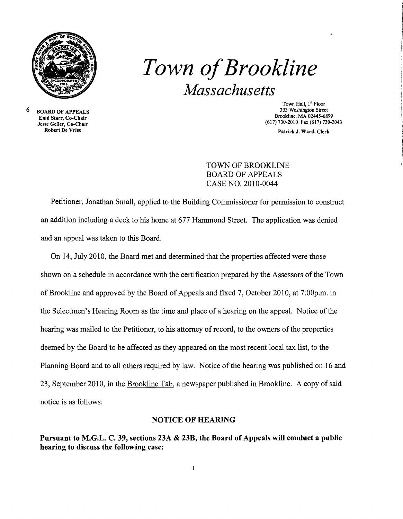

## *Town ofBrookline Massachusetts*

6 BOARD OF APPEALS Enid Starr, Co-Chair Jesse Geller, Co-Chair Robert De Vries

Town Hall, I" Floor 333 Washington Street Brookline, MA 02445-6899 (617) 730-2010 Fax (617) 730-2043

Patrick J. Ward, Clerk

TOWN OF BROOKLINE BOARD OF APPEALS CASE NO. 2010-0044

Petitioner, Jonathan Small, applied to the Building Commissioner for permission to construct an addition including a deck to his home at 677 Hammond Street. The application was denied and an appeal was taken to this Board.

On 14, July 2010, the Board met and determined that the properties affected were those shown on a schedule in accordance with the certification prepared by the Assessors of the Town of Brookline and approved by the Board of Appeals and fixed 7, October 2010, at 7:00p.m. in the Selectmen's Hearing Room as the time and place of a hearing on the appeal. Notice of the hearing was mailed to the Petitioner, to his attorney of record, to the owners of the properties deemed by the Board to be affected as they appeared on the most recent local tax list, to the Planning Board and to all others required by law. Notice of the hearing was published on 16 and 23, September 2010, in the Brookline Tab, a newspaper published in Brookline. A copy of said notice is as follows:

## NOTICE OF HEARING

Pursuant to M.G.L. C. 39, sections 23A & 23B, the Board of Appeals will conduct a public hearing to discuss the following case: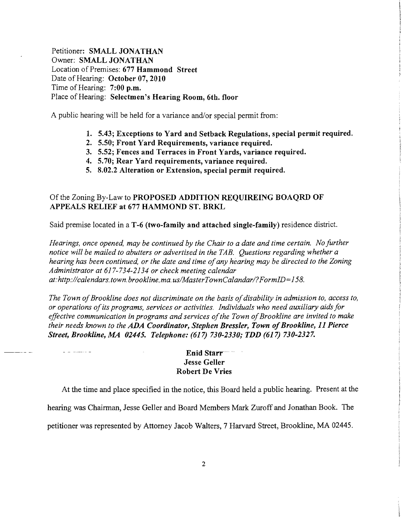Petitioner: SMALL JONATHAN Owner: SMALL JONATHAN Location of Premises: 677 Hammond Street Date of Hearing: October 07, 2010 Time of Hearing: 7:00 p.m. Place of Hearing: Selectmen's Hearing Room, 6th. floor

A public hearing will be held for a variance and/or special permit from:

- 1. 5.43; Exceptions to Yard and Setback Regulations, special permit required.
- 2. 5.50; Front Yard Requirements, variance required.
- 3. 5.52; Fences and Terraces in Front Yards, variance required.
- 4. 5.70; Rear Yard requirements, variance required.
- 5. 8.02.2 Alteration or Extension, special permit required.

## Of the Zoning By-Law to PROPOSED ADDITION REQUIREING BOAQRD OF APPEALS RELIEF at 677 HAMMOND ST. BRKL

Said premise located in a T-6 (two-family and attached single-family) residence district.

*Hearings, once opened, may be continued by the Chair to a date and time certain. No further notice will be mailed to abutters or advertised in the TAB. Questions regarding whether a hearing has been continued, or the date and time ofany hearing may be directed to the Zoning Administrator at* 617-734-2134 *or check meeting calendar at:http://calendars.town.brookline.ma.usIMasterTownCalandarl?FormID=158.* 

The Town of Brookline does not discriminate on the basis of disability in admission to, access to, *or operations ofits programs, services or activities. Individuals who need auxiliary aids for*  effective communication in programs and services of the Town of Brookline are invited to make *their needs known to the* ADA *Coordinator, Stephen Bressler, Town ofBrookline,* 11 *Pierce Street, Brookline, MA 02445. Telephone:* (617) *730-2330; TDD* (617) *730-2327.* 

## Enid Starr<sup>--</sup> Jesse Geller Robert De Vries

At the time and place specified in the notice, this Board held a public hearing. Present at the

hearing was Chairman, Jesse Geller and Board Members Mark Zuroff and Jonathan Book. The

petitioner was represented by Attorney Jacob Walters, 7 Harvard Street, Brookline, MA 02445.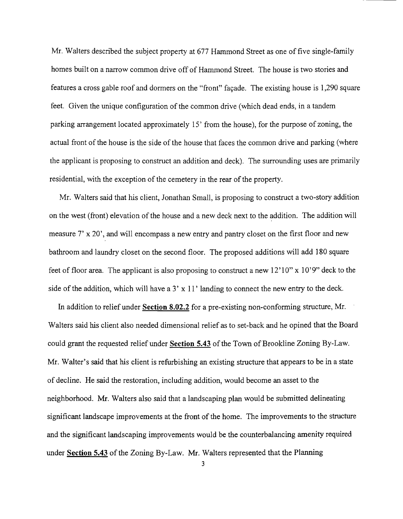Mr. Walters described the subject property at 677 Hammond Street as one of five single-family homes built on a narrow common drive off of Hammond Street. The house is two stories and features a cross gable roof and dormers on the "front" fayade. The existing house is 1,290 square feet. Given the unique configuration of the common drive (which dead ends, in a tandem parking arrangement located approximately 15' from the house), for the purpose of zoning, the actual front of the house is the side of the house that faces the common drive and parking (where the applicant is proposing to construct an addition and deck). The surrounding uses are primarily residential, with the exception of the cemetery in the rear of the property.

Mr. Walters said that his client, Jonathan Small, is proposing to construct a two-story addition on the west (front) elevation of the house and a new deck next to the addition. The addition will measure 7' x 20', and will encompass a new entry and pantry closet on the first floor and new bathroom and laundry closet on the second floor. The proposed additions will add 180 square feet of floor area. The applicant is also proposing to construct a new  $12'10''$  x  $10'9''$  deck to the side of the addition, which will have a 3'  $x$  11' landing to connect the new entry to the deck.

In addition to relief under **Section 8.02.2** for a pre-existing non-conforming structure, Mr. Walters said his client also needed dimensional relief as to set-back and he opined that the Board could grant the requested relief under **Section 5.43** of the Town of Brookline Zoning By-Law. Mr. Walter's said that his client is refurbishing an existing structure that appears to be in a state of decline. He said the restoration, including addition, would become an asset to the neighborhood. Mr. Walters also said that a landscaping plan would be submitted delineating significant landscape improvements at the front of the home. The improvements to the structure and the significant landscaping improvements would be the counterbalancing amenity required under **Section 5.43** of the Zoning By-Law. Mr. Walters represented that the Planning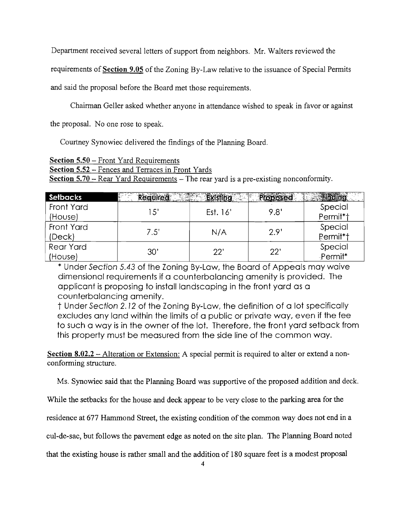Department received several letters of support from neighbors. Mr. Walters reviewed the

requirements of **Section 9.05** of the Zoning By-Law relative to the issuance of Special Permits

and said the proposal before the Board met those requirements.

Chairman Geller asked whether anyone in attendance wished to speak in favor or against

the proposal. No one rose to speak.

Courtney Synowiec delivered the findings of the Planning Board.

**Section 5.50** – Front Yard Requirements

**Section 5.52** - Fences and Terraces in Front Yards

**Section 5.70** – Rear Yard Requirements – The rear yard is a pre-existing nonconformity.

| Setbacks         | Required | Existing | Proposed | <b>Finding</b>        |
|------------------|----------|----------|----------|-----------------------|
| Front Yard       | 15'      |          | 9.8'     | Special               |
| (House)          |          | Est. 16' |          | Permit*†              |
| Front Yard       |          |          |          | Special               |
| (Deck)           | 7.5'     | N/A      | 2.9'     | Rermit <sup>*</sup> t |
| <b>Rear Yard</b> | 30'      | 22'      | 22'      | Special               |
| (House)          |          |          |          | -Permit*              |

\* Under Section 5.43 of "the Zoning By-Law, the Board of Appeals may waive dimensional requirements if a counterbalancing amenity is provided. The applicant is proposing to install landscaping in the front yard as a counterbalancing amenity.

t Under Section 2. 12 of the Zoning By-Law, the definition of a lot specifically excludes any land within the limits of a public or private way, even if the fee to such a way is in the owner of the lot. Therefore, the front yard setback from this property must be measured from the side line of the common way.

**Section 8.02.2** - Alteration or Extension: A special permit is required to alter or extend a nonconforming structure.

Ms. Synowiec said that the Planning Board was supportive of the proposed addition and deck.

While the setbacks for the house and deck appear to be very close to the parking area for the

residence at 677 Hammond Street, the existing condition of the common way does not end in a

cul-de-sac, but follows the pavement edge as noted on the site plan. The Planning Board noted

that the existing house is rather small and the addition of 180 square feet is a modest proposal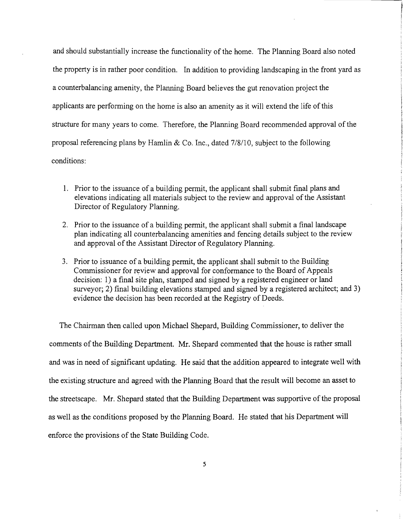and should substantially increase the functionality of the home. The Planning Board also noted the property is in rather poor condition. In addition to providing landscaping in the front yard as a counterbalancing amenity, the Planning Board believes the gut renovation project the applicants are performing on the home is also an amenity as it will extend the life ofthis structure for many years to come. Therefore, the Planning Board recommended approval of the proposal referencing plans by Hamlin & Co. Inc., dated 7/8/1 0, subject to the following conditions:

- 1. Prior to the issuance of a building permit, the applicant shall submit final plans and elevations indicating all materials subject to the review and approval of the Assistant Director of Regulatory Planning.
- 2. Prior to the issuance of a building permit, the applicant shall submit a final landscape plan indicating all counterbalancing amenities and fencing details subject to the review and approval of the Assistant Director of Regulatory Planning.
- 3. Prior to issuance of a building permit, the applicant shall submit to the Building Commissioner for review and approval for conformance to the Board of Appeals decision: 1) a final site plan, stamped and signed by a registered engineer or land surveyor; 2) final building elevations stamped and signed by a registered architect; and 3) evidence the decision has been recorded at the Registry of Deeds.

The Chairman then called upon Michael Shepard, Building Commissioner, to deliver the comments of the Building Department. Mr. Shepard commented that the house is rather small and was in need of significant updating. He said that the addition appeared to integrate well with the existing structure and agreed with the Planning Board that the result will become an asset to the streetscape. Mr. Shepard stated that the Building Department was supportive of the proposal as well as the conditions proposed by the Planning Board. He stated that his Department will enforce the provisions of the State Building Code.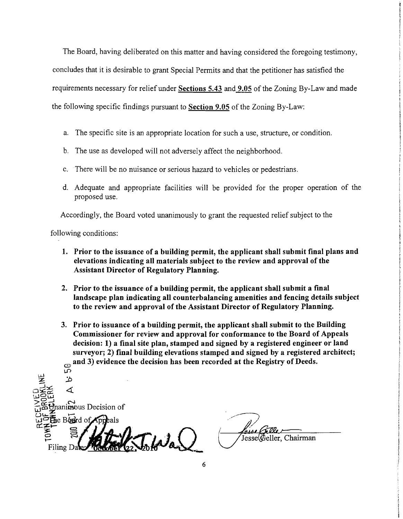The Board, having deliberated on this matter and having considered the foregoing testimony, concludes that it is desirable to grant Special Permits and that the petitioner has satisfied the requirements necessary for relief under Sections 5.43 and 9.05 of the Zoning By-Law and made the following specific findings pursuant to **Section 9.05** of the Zoning By-Law:

- a. The specific site is an appropriate location for such a use, structure, or condition.
- b. The use as developed will not adversely affect the neighborhood.
- c. There will be no nuisance or serious hazard to vehicles or pedestrians.
- d. Adequate and appropriate facilities will be provided for the proper operation of the proposed use.

Accordingly, the Board voted unanimously to grant the requested relief subject to the

following conditions:

- 1. Prior to the issuance of a building permit, the applicant shall submit final plans and elevations indicating all materials subject to the review and approval of the Assistant Director of Regulatory Planning.
- 2. Prior to the issuance of a building permit, the applicant shall submit a final landscape plan indicating all counterbalancing amenities and fencing details subject to the review and approval of the Assistant Director of Regulatory Planning.
- 3. Prior to issuance of a building permit, the applicant shall submit to the Building Commissioner for review and approval for conformance to the Board of Appeals decision: 1) a final site plan, stamped and signed by a registered engineer or land surveyor; 2) final building elevations stamped and signed by a registered architect; and 3) evidence the decision has been recorded at the Registry of Deeds. l.0

ييبا :%- :b  $\blacktriangleleft$  $\tilde{\mathcal{L}}$  $\sum_{\text{vanimous Decision of}}$ we grammous Decision of **EXERGED** Wal Filing D.

Jesse Geller, Chairman